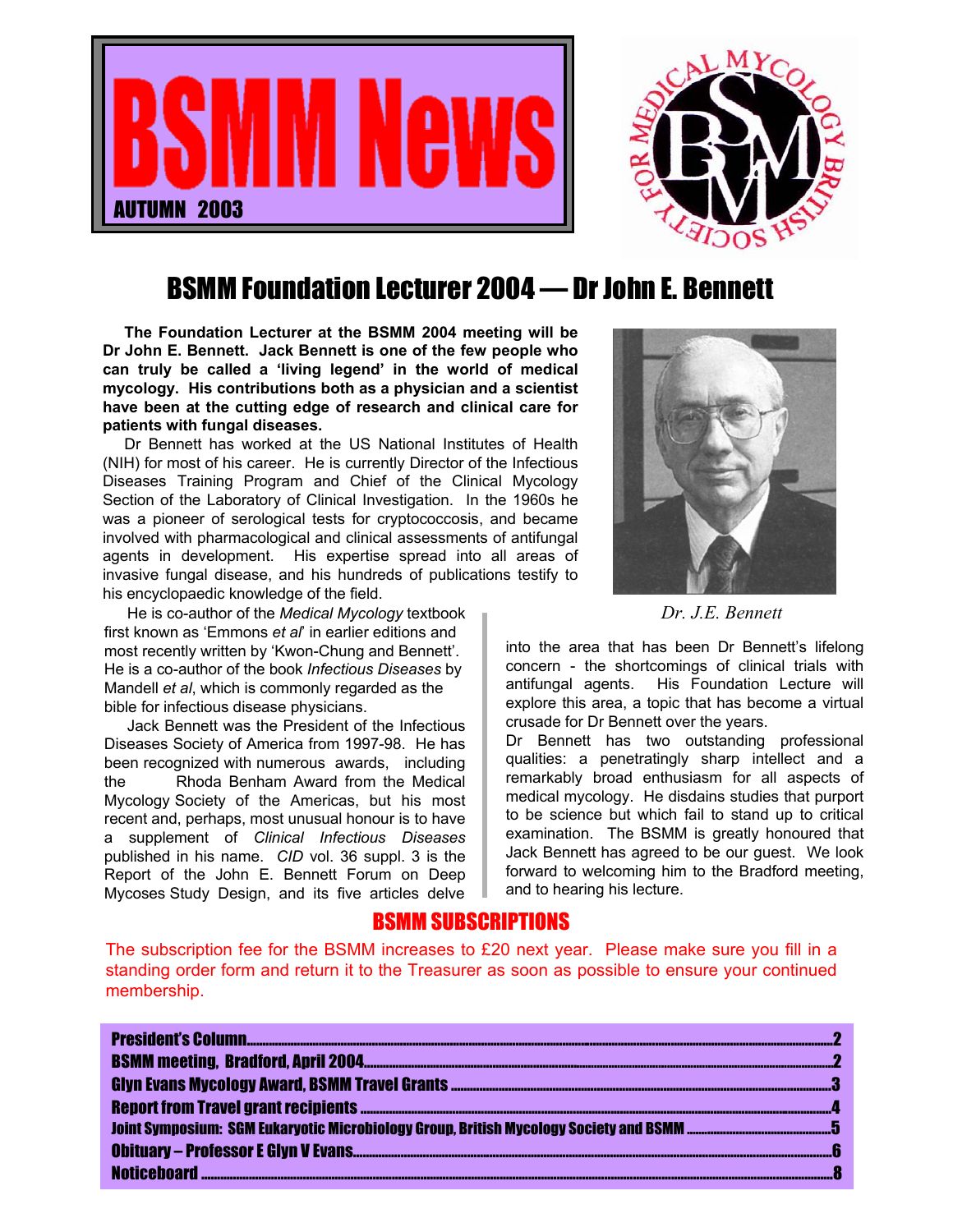



### BSMM Foundation Lecturer 2004 — Dr John E. Bennett

**The Foundation Lecturer at the BSMM 2004 meeting will be Dr John E. Bennett. Jack Bennett is one of the few people who can truly be called a 'living legend' in the world of medical mycology. His contributions both as a physician and a scientist have been at the cutting edge of research and clinical care for patients with fungal diseases.**

Dr Bennett has worked at the US National Institutes of Health (NIH) for most of his career. He is currently Director of the Infectious Diseases Training Program and Chief of the Clinical Mycology Section of the Laboratory of Clinical Investigation. In the 1960s he was a pioneer of serological tests for cryptococcosis, and became involved with pharmacological and clinical assessments of antifungal agents in development. His expertise spread into all areas of invasive fungal disease, and his hundreds of publications testify to his encyclopaedic knowledge of the field.

He is co-author of the *Medical Mycology* textbook **Democratization** *Dr. J.E. Bennett* first known as 'Emmons *et al*' in earlier editions and most recently written by 'Kwon-Chung and Bennett'. He is a co-author of the book *Infectious Diseases* by Mandell *et al*, which is commonly regarded as the bible for infectious disease physicians.

Jack Bennett was the President of the Infectious Diseases Society of America from 1997-98. He has been recognized with numerous awards, including the Rhoda Benham Award from the Medical Mycology Society of the Americas, but his most recent and, perhaps, most unusual honour is to have a supplement of *Clinical Infectious Diseases* published in his name. *CID* vol. 36 suppl. 3 is the Report of the John E. Bennett Forum on Deep Mycoses Study Design, and its five articles delve



into the area that has been Dr Bennett's lifelong concern - the shortcomings of clinical trials with antifungal agents. His Foundation Lecture will explore this area, a topic that has become a virtual crusade for Dr Bennett over the years.

Dr Bennett has two outstanding professional qualities: a penetratingly sharp intellect and a remarkably broad enthusiasm for all aspects of medical mycology. He disdains studies that purport to be science but which fail to stand up to critical examination. The BSMM is greatly honoured that Jack Bennett has agreed to be our guest. We look forward to welcoming him to the Bradford meeting, and to hearing his lecture.

### BSMM SUBSCRIPTIONS

The subscription fee for the BSMM increases to £20 next year. Please make sure you fill in a standing order form and return it to the Treasurer as soon as possible to ensure your continued membership.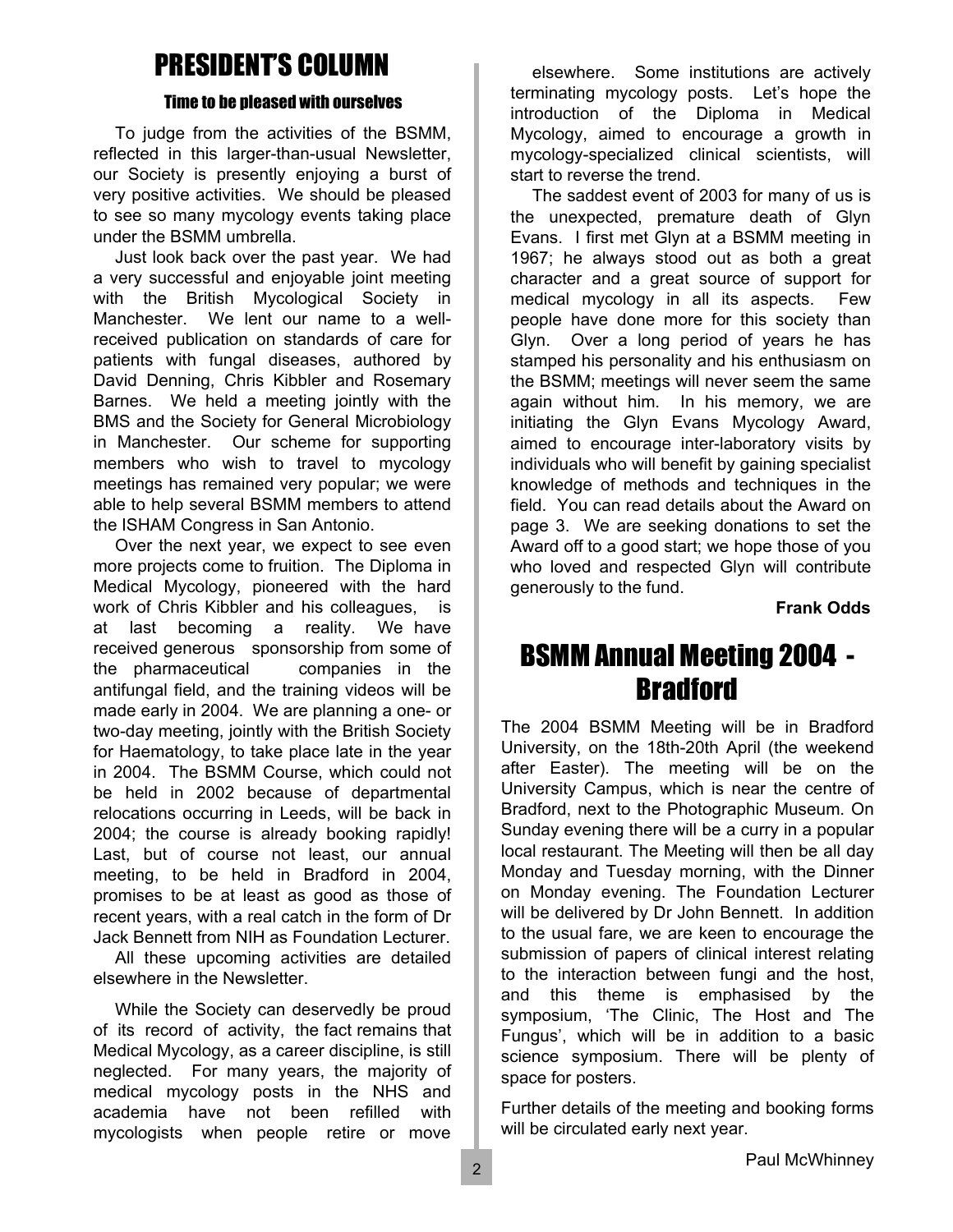### PRESIDENT'S COLUMN

#### Time to be pleased with ourselves

To judge from the activities of the BSMM, reflected in this larger-than-usual Newsletter, our Society is presently enjoying a burst of very positive activities. We should be pleased to see so many mycology events taking place under the BSMM umbrella.

Just look back over the past year. We had a very successful and enjoyable joint meeting with the British Mycological Society in Manchester. We lent our name to a wellreceived publication on standards of care for patients with fungal diseases, authored by David Denning, Chris Kibbler and Rosemary Barnes. We held a meeting jointly with the BMS and the Society for General Microbiology in Manchester. Our scheme for supporting members who wish to travel to mycology meetings has remained very popular; we were able to help several BSMM members to attend the ISHAM Congress in San Antonio.

Over the next year, we expect to see even more projects come to fruition. The Diploma in Medical Mycology, pioneered with the hard work of Chris Kibbler and his colleagues, is at last becoming a reality. We have received generous sponsorship from some of the pharmaceutical companies in the antifungal field, and the training videos will be made early in 2004. We are planning a one- or two-day meeting, jointly with the British Society for Haematology, to take place late in the year in 2004. The BSMM Course, which could not be held in 2002 because of departmental relocations occurring in Leeds, will be back in 2004; the course is already booking rapidly! Last, but of course not least, our annual meeting, to be held in Bradford in 2004, promises to be at least as good as those of recent years, with a real catch in the form of Dr Jack Bennett from NIH as Foundation Lecturer.

All these upcoming activities are detailed elsewhere in the Newsletter.

While the Society can deservedly be proud of its record of activity, the fact remains that Medical Mycology, as a career discipline, is still neglected. For many years, the majority of medical mycology posts in the NHS and academia have not been refilled with mycologists when people retire or move

elsewhere. Some institutions are actively terminating mycology posts. Let's hope the introduction of the Diploma in Medical Mycology, aimed to encourage a growth in mycology-specialized clinical scientists, will start to reverse the trend.

The saddest event of 2003 for many of us is the unexpected, premature death of Glyn Evans. I first met Glyn at a BSMM meeting in 1967; he always stood out as both a great character and a great source of support for medical mycology in all its aspects. Few people have done more for this society than Glyn. Over a long period of years he has stamped his personality and his enthusiasm on the BSMM; meetings will never seem the same again without him. In his memory, we are initiating the Glyn Evans Mycology Award, aimed to encourage inter-laboratory visits by individuals who will benefit by gaining specialist knowledge of methods and techniques in the field. You can read details about the Award on page 3. We are seeking donations to set the Award off to a good start; we hope those of you who loved and respected Glyn will contribute generously to the fund.

#### **Frank Odds**

### BSMM Annual Meeting 2004 - **Bradford**

The 2004 BSMM Meeting will be in Bradford University, on the 18th-20th April (the weekend after Easter). The meeting will be on the University Campus, which is near the centre of Bradford, next to the Photographic Museum. On Sunday evening there will be a curry in a popular local restaurant. The Meeting will then be all day Monday and Tuesday morning, with the Dinner on Monday evening. The Foundation Lecturer will be delivered by Dr John Bennett. In addition to the usual fare, we are keen to encourage the submission of papers of clinical interest relating to the interaction between fungi and the host, and this theme is emphasised by the symposium, 'The Clinic, The Host and The Fungus', which will be in addition to a basic science symposium. There will be plenty of space for posters.

Further details of the meeting and booking forms will be circulated early next year.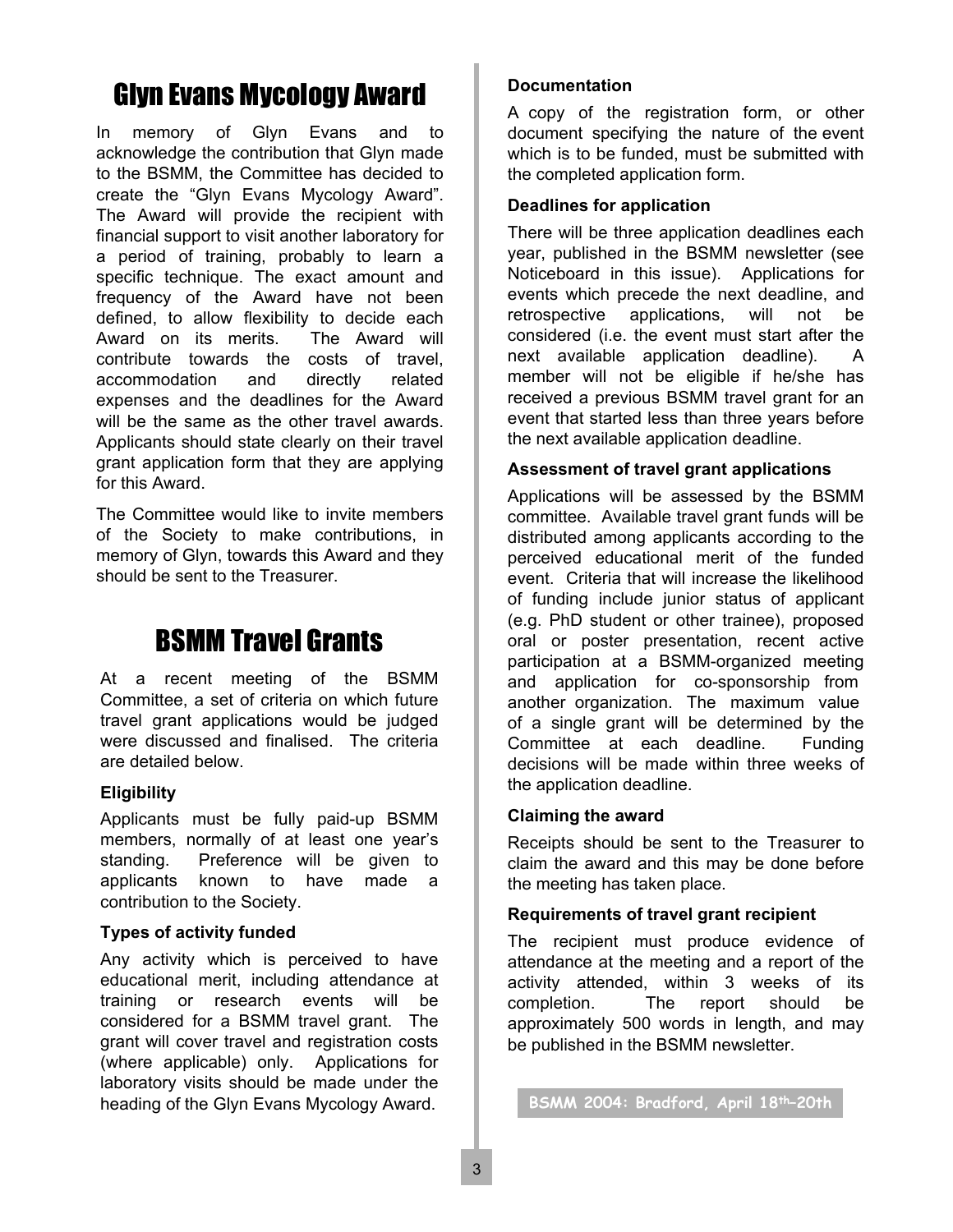## Glyn Evans Mycology Award

In memory of Glyn Evans and to acknowledge the contribution that Glyn made to the BSMM, the Committee has decided to create the "Glyn Evans Mycology Award". The Award will provide the recipient with financial support to visit another laboratory for a period of training, probably to learn a specific technique. The exact amount and frequency of the Award have not been defined, to allow flexibility to decide each Award on its merits. The Award will contribute towards the costs of travel, accommodation and directly related expenses and the deadlines for the Award will be the same as the other travel awards. Applicants should state clearly on their travel grant application form that they are applying for this Award.

The Committee would like to invite members of the Society to make contributions, in memory of Glyn, towards this Award and they should be sent to the Treasurer.

### BSMM Travel Grants

At a recent meeting of the BSMM Committee, a set of criteria on which future travel grant applications would be judged were discussed and finalised. The criteria are detailed below.

#### **Eligibility**

Applicants must be fully paid-up BSMM members, normally of at least one year's standing. Preference will be given to applicants known to have made a contribution to the Society.

#### **Types of activity funded**

Any activity which is perceived to have educational merit, including attendance at training or research events will be considered for a BSMM travel grant. The grant will cover travel and registration costs (where applicable) only. Applications for laboratory visits should be made under the heading of the Glyn Evans Mycology Award. **BSMM 2004: Bradford, April 18th–20th** 

#### **Documentation**

A copy of the registration form, or other document specifying the nature of the event which is to be funded, must be submitted with the completed application form.

#### **Deadlines for application**

There will be three application deadlines each year, published in the BSMM newsletter (see Noticeboard in this issue). Applications for events which precede the next deadline, and retrospective applications, will not be considered (i.e. the event must start after the next available application deadline). A member will not be eligible if he/she has received a previous BSMM travel grant for an event that started less than three years before the next available application deadline.

#### **Assessment of travel grant applications**

Applications will be assessed by the BSMM committee. Available travel grant funds will be distributed among applicants according to the perceived educational merit of the funded event. Criteria that will increase the likelihood of funding include junior status of applicant (e.g. PhD student or other trainee), proposed oral or poster presentation, recent active participation at a BSMM-organized meeting and application for co-sponsorship from another organization. The maximum value of a single grant will be determined by the Committee at each deadline. Funding decisions will be made within three weeks of the application deadline.

#### **Claiming the award**

Receipts should be sent to the Treasurer to claim the award and this may be done before the meeting has taken place.

#### **Requirements of travel grant recipient**

The recipient must produce evidence of attendance at the meeting and a report of the activity attended, within 3 weeks of its completion. The report should be approximately 500 words in length, and may be published in the BSMM newsletter.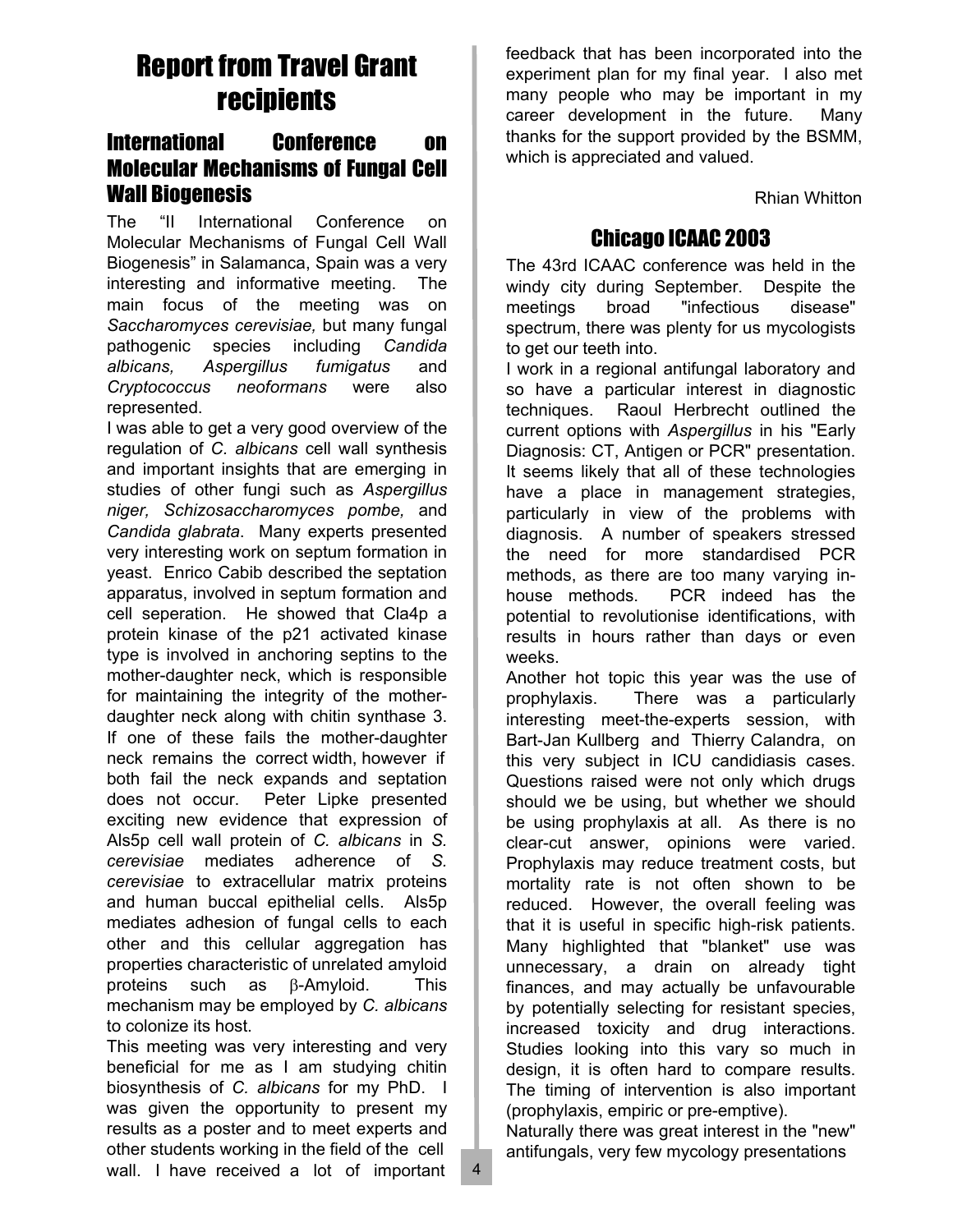## Report from Travel Grant recipients

### International Conference on Molecular Mechanisms of Fungal Cell Wall Biogenesis

The "II International Conference on Molecular Mechanisms of Fungal Cell Wall Biogenesis" in Salamanca, Spain was a very interesting and informative meeting. The main focus of the meeting was on *Saccharomyces cerevisiae,* but many fungal pathogenic species including *Candida albicans, Aspergillus fumigatus* and *Cryptococcus neoformans* were also represented.

I was able to get a very good overview of the regulation of *C. albicans* cell wall synthesis and important insights that are emerging in studies of other fungi such as *Aspergillus niger, Schizosaccharomyces pombe,* and *Candida glabrata*. Many experts presented very interesting work on septum formation in yeast. Enrico Cabib described the septation apparatus, involved in septum formation and cell seperation. He showed that Cla4p a protein kinase of the p21 activated kinase type is involved in anchoring septins to the mother-daughter neck, which is responsible for maintaining the integrity of the motherdaughter neck along with chitin synthase 3. If one of these fails the mother-daughter neck remains the correct width, however if both fail the neck expands and septation does not occur. Peter Lipke presented exciting new evidence that expression of Als5p cell wall protein of *C. albicans* in *S. cerevisiae* mediates adherence of *S. cerevisiae* to extracellular matrix proteins and human buccal epithelial cells. Als5p mediates adhesion of fungal cells to each other and this cellular aggregation has properties characteristic of unrelated amyloid proteins such as β-Amyloid. This mechanism may be employed by *C. albicans* to colonize its host.

This meeting was very interesting and very beneficial for me as I am studying chitin biosynthesis of *C. albicans* for my PhD. I was given the opportunity to present my results as a poster and to meet experts and other students working in the field of the cell wall. I have received a lot of important

feedback that has been incorporated into the experiment plan for my final year. I also met many people who may be important in my career development in the future. Many thanks for the support provided by the BSMM, which is appreciated and valued.

Rhian Whitton

### Chicago ICAAC 2003

The 43rd ICAAC conference was held in the windy city during September. Despite the meetings broad "infectious disease" spectrum, there was plenty for us mycologists to get our teeth into.

I work in a regional antifungal laboratory and so have a particular interest in diagnostic techniques. Raoul Herbrecht outlined the current options with *Aspergillus* in his "Early Diagnosis: CT, Antigen or PCR" presentation. It seems likely that all of these technologies have a place in management strategies, particularly in view of the problems with diagnosis. A number of speakers stressed the need for more standardised PCR methods, as there are too many varying inhouse methods. PCR indeed has the potential to revolutionise identifications, with results in hours rather than days or even weeks.

Another hot topic this year was the use of prophylaxis. There was a particularly interesting meet-the-experts session, with Bart-Jan Kullberg and Thierry Calandra, on this very subject in ICU candidiasis cases. Questions raised were not only which drugs should we be using, but whether we should be using prophylaxis at all. As there is no clear-cut answer, opinions were varied. Prophylaxis may reduce treatment costs, but mortality rate is not often shown to be reduced. However, the overall feeling was that it is useful in specific high-risk patients. Many highlighted that "blanket" use was unnecessary, a drain on already tight finances, and may actually be unfavourable by potentially selecting for resistant species, increased toxicity and drug interactions. Studies looking into this vary so much in design, it is often hard to compare results. The timing of intervention is also important (prophylaxis, empiric or pre-emptive).

Naturally there was great interest in the "new" antifungals, very few mycology presentations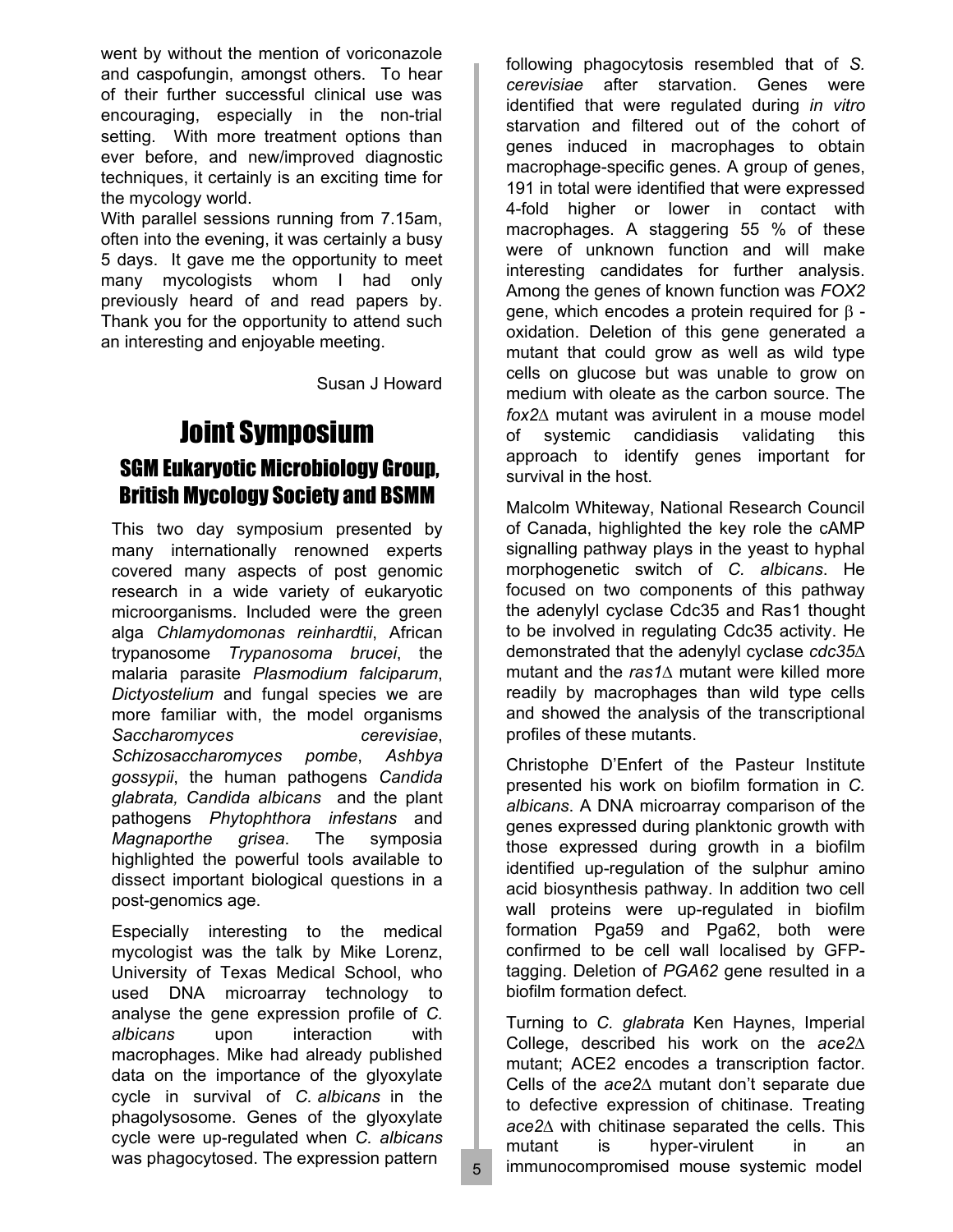went by without the mention of voriconazole and caspofungin, amongst others. To hear of their further successful clinical use was encouraging, especially in the non-trial setting. With more treatment options than ever before, and new/improved diagnostic techniques, it certainly is an exciting time for the mycology world.

With parallel sessions running from 7.15am, often into the evening, it was certainly a busy 5 days. It gave me the opportunity to meet many mycologists whom I had only previously heard of and read papers by. Thank you for the opportunity to attend such an interesting and enjoyable meeting.

Susan J Howard

### Joint Symposium SGM Eukaryotic Microbiology Group, British Mycology Society and BSMM

This two day symposium presented by many internationally renowned experts covered many aspects of post genomic research in a wide variety of eukaryotic microorganisms. Included were the green alga *Chlamydomonas reinhardtii*, African trypanosome *Trypanosoma brucei*, the malaria parasite *Plasmodium falciparum*, *Dictyostelium* and fungal species we are more familiar with, the model organisms *Saccharomyces cerevisiae*, *Schizosaccharomyces pombe*, *Ashbya gossypii*, the human pathogens *Candida glabrata, Candida albicans* and the plant pathogens *Phytophthora infestans* and *Magnaporthe grisea*. The symposia highlighted the powerful tools available to dissect important biological questions in a post-genomics age.

Especially interesting to the medical mycologist was the talk by Mike Lorenz, University of Texas Medical School, who used DNA microarray technology to analyse the gene expression profile of *C. albicans* upon interaction with macrophages. Mike had already published data on the importance of the glyoxylate cycle in survival of *C. albicans* in the phagolysosome. Genes of the glyoxylate cycle were up-regulated when *C. albicans* was phagocytosed. The expression pattern

following phagocytosis resembled that of *S. cerevisiae* after starvation. Genes were identified that were regulated during *in vitro* starvation and filtered out of the cohort of genes induced in macrophages to obtain macrophage-specific genes. A group of genes, 191 in total were identified that were expressed 4-fold higher or lower in contact with macrophages. A staggering 55 % of these were of unknown function and will make interesting candidates for further analysis. Among the genes of known function was *FOX2* gene, which encodes a protein required for β oxidation. Deletion of this gene generated a mutant that could grow as well as wild type cells on glucose but was unable to grow on medium with oleate as the carbon source. The *fox2*∆ mutant was avirulent in a mouse model of systemic candidiasis validating this approach to identify genes important for survival in the host.

Malcolm Whiteway, National Research Council of Canada, highlighted the key role the cAMP signalling pathway plays in the yeast to hyphal morphogenetic switch of *C. albicans*. He focused on two components of this pathway the adenylyl cyclase Cdc35 and Ras1 thought to be involved in regulating Cdc35 activity. He demonstrated that the adenylyl cyclase *cdc35*∆ mutant and the *ras1*∆ mutant were killed more readily by macrophages than wild type cells and showed the analysis of the transcriptional profiles of these mutants.

Christophe D'Enfert of the Pasteur Institute presented his work on biofilm formation in *C. albicans*. A DNA microarray comparison of the genes expressed during planktonic growth with those expressed during growth in a biofilm identified up-regulation of the sulphur amino acid biosynthesis pathway. In addition two cell wall proteins were up-regulated in biofilm formation Pga59 and Pga62, both were confirmed to be cell wall localised by GFPtagging. Deletion of *PGA62* gene resulted in a biofilm formation defect.

Turning to *C. glabrata* Ken Haynes, Imperial College, described his work on the *ace2*∆ mutant; ACE2 encodes a transcription factor. Cells of the *ace2*∆ mutant don't separate due to defective expression of chitinase. Treating *ace2*∆ with chitinase separated the cells. This mutant is hyper-virulent in an immunocompromised mouse systemic model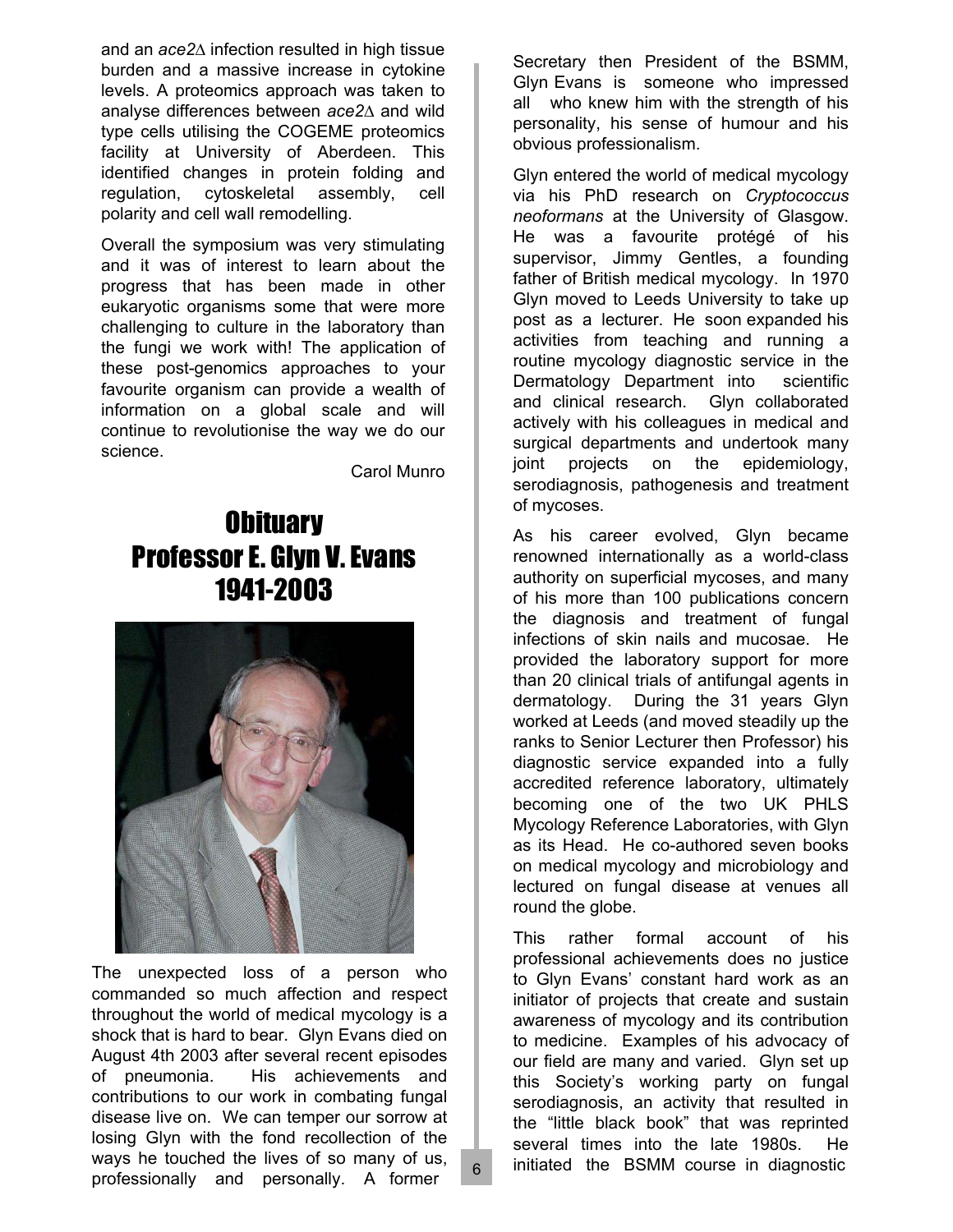and an *ace2*∆ infection resulted in high tissue burden and a massive increase in cytokine levels. A proteomics approach was taken to analyse differences between *ace2*∆ and wild type cells utilising the COGEME proteomics facility at University of Aberdeen. This identified changes in protein folding and regulation, cytoskeletal assembly, cell polarity and cell wall remodelling.

Overall the symposium was very stimulating and it was of interest to learn about the progress that has been made in other eukaryotic organisms some that were more challenging to culture in the laboratory than the fungi we work with! The application of these post-genomics approaches to your favourite organism can provide a wealth of information on a global scale and will continue to revolutionise the way we do our science.

Carol Munro

## **Obituary** Professor E. Glyn V. Evans 1941-2003



The unexpected loss of a person who commanded so much affection and respect throughout the world of medical mycology is a shock that is hard to bear. Glyn Evans died on August 4th 2003 after several recent episodes of pneumonia. His achievements and contributions to our work in combating fungal disease live on. We can temper our sorrow at losing Glyn with the fond recollection of the ways he touched the lives of so many of us, professionally and personally. A former

Secretary then President of the BSMM, Glyn Evans is someone who impressed all who knew him with the strength of his personality, his sense of humour and his obvious professionalism.

Glyn entered the world of medical mycology via his PhD research on *Cryptococcus neoformans* at the University of Glasgow. He was a favourite protégé of his supervisor, Jimmy Gentles, a founding father of British medical mycology. In 1970 Glyn moved to Leeds University to take up post as a lecturer. He soon expanded his activities from teaching and running a routine mycology diagnostic service in the Dermatology Department into scientific and clinical research. Glyn collaborated actively with his colleagues in medical and surgical departments and undertook many joint projects on the epidemiology, serodiagnosis, pathogenesis and treatment of mycoses.

As his career evolved, Glyn became renowned internationally as a world-class authority on superficial mycoses, and many of his more than 100 publications concern the diagnosis and treatment of fungal infections of skin nails and mucosae. He provided the laboratory support for more than 20 clinical trials of antifungal agents in dermatology. During the 31 years Glyn worked at Leeds (and moved steadily up the ranks to Senior Lecturer then Professor) his diagnostic service expanded into a fully accredited reference laboratory, ultimately becoming one of the two UK PHLS Mycology Reference Laboratories, with Glyn as its Head. He co-authored seven books on medical mycology and microbiology and lectured on fungal disease at venues all round the globe.

This rather formal account of his professional achievements does no justice to Glyn Evans' constant hard work as an initiator of projects that create and sustain awareness of mycology and its contribution to medicine. Examples of his advocacy of our field are many and varied. Glyn set up this Society's working party on fungal serodiagnosis, an activity that resulted in the "little black book" that was reprinted several times into the late 1980s. He initiated the BSMM course in diagnostic

6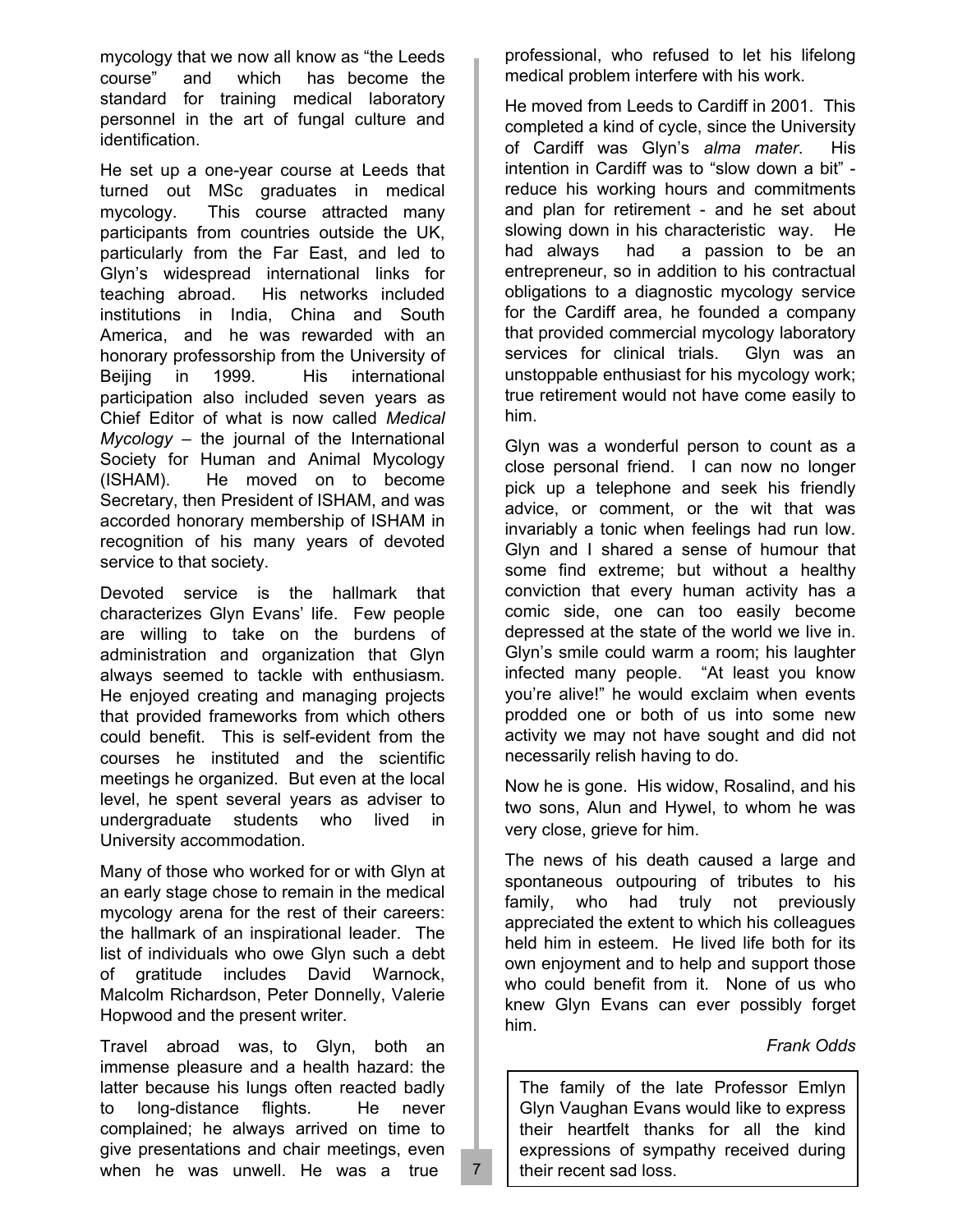mycology that we now all know as "the Leeds course" and which has become the standard for training medical laboratory personnel in the art of fungal culture and identification.

He set up a one-year course at Leeds that turned out MSc graduates in medical mycology. This course attracted many participants from countries outside the UK, particularly from the Far East, and led to Glyn's widespread international links for teaching abroad. His networks included institutions in India, China and South America, and he was rewarded with an honorary professorship from the University of Beijing in 1999. His international participation also included seven years as Chief Editor of what is now called *Medical Mycology* – the journal of the International Society for Human and Animal Mycology (ISHAM). He moved on to become Secretary, then President of ISHAM, and was accorded honorary membership of ISHAM in recognition of his many years of devoted service to that society.

Devoted service is the hallmark that characterizes Glyn Evans' life. Few people are willing to take on the burdens of administration and organization that Glyn always seemed to tackle with enthusiasm. He enjoyed creating and managing projects that provided frameworks from which others could benefit. This is self-evident from the courses he instituted and the scientific meetings he organized. But even at the local level, he spent several years as adviser to undergraduate students who lived in University accommodation.

Many of those who worked for or with Glyn at an early stage chose to remain in the medical mycology arena for the rest of their careers: the hallmark of an inspirational leader. The list of individuals who owe Glyn such a debt of gratitude includes David Warnock, Malcolm Richardson, Peter Donnelly, Valerie Hopwood and the present writer.

Travel abroad was, to Glyn, both an immense pleasure and a health hazard: the latter because his lungs often reacted badly to long-distance flights. He never complained; he always arrived on time to give presentations and chair meetings, even when he was unwell. He was a true

professional, who refused to let his lifelong medical problem interfere with his work.

He moved from Leeds to Cardiff in 2001. This completed a kind of cycle, since the University of Cardiff was Glyn's *alma mater*. His intention in Cardiff was to "slow down a bit" reduce his working hours and commitments and plan for retirement - and he set about slowing down in his characteristic way. He had always had a passion to be an entrepreneur, so in addition to his contractual obligations to a diagnostic mycology service for the Cardiff area, he founded a company that provided commercial mycology laboratory services for clinical trials. Glyn was an unstoppable enthusiast for his mycology work; true retirement would not have come easily to him.

Glyn was a wonderful person to count as a close personal friend. I can now no longer pick up a telephone and seek his friendly advice, or comment, or the wit that was invariably a tonic when feelings had run low. Glyn and I shared a sense of humour that some find extreme; but without a healthy conviction that every human activity has a comic side, one can too easily become depressed at the state of the world we live in. Glyn's smile could warm a room; his laughter infected many people. "At least you know you're alive!" he would exclaim when events prodded one or both of us into some new activity we may not have sought and did not necessarily relish having to do.

Now he is gone. His widow, Rosalind, and his two sons, Alun and Hywel, to whom he was very close, grieve for him.

The news of his death caused a large and spontaneous outpouring of tributes to his family, who had truly not previously appreciated the extent to which his colleagues held him in esteem. He lived life both for its own enjoyment and to help and support those who could benefit from it. None of us who knew Glyn Evans can ever possibly forget him.

#### *Frank Odds*

The family of the late Professor Emlyn Glyn Vaughan Evans would like to express their heartfelt thanks for all the kind expressions of sympathy received during their recent sad loss.

7